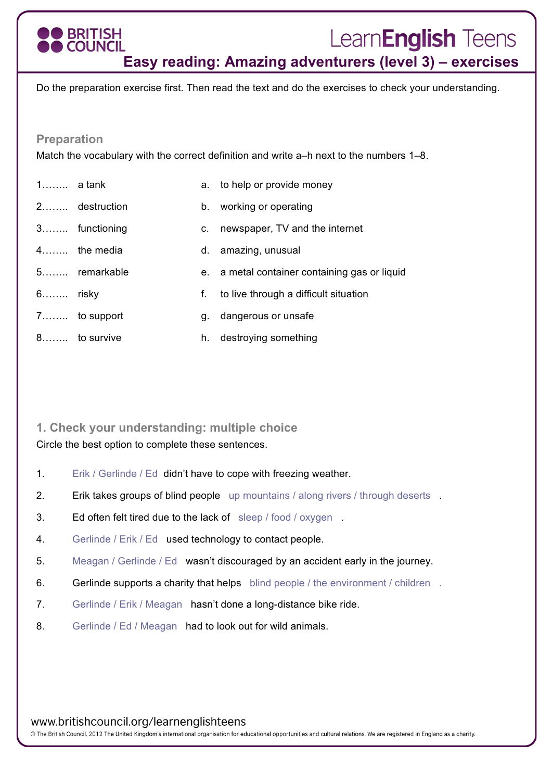# **BRITISH COUNCIL**

# LearnEnglish Teens

**Easy reading: Amazing adventurers (level 3) – exercises**

Do the preparation exercise first. Then read the text and do the exercises to check your understanding.

#### **Preparation**

Match the vocabulary with the correct definition and write a–h next to the numbers 1–8.

| $1$ a tank |               |         | a. to help or provide money                   |
|------------|---------------|---------|-----------------------------------------------|
|            | 2 destruction |         | b. working or operating                       |
|            | 3 functioning | $C_{1}$ | newspaper, TV and the internet                |
|            | 4 the media   |         | d. amazing, unusual                           |
|            | 5 remarkable  |         | e. a metal container containing gas or liquid |
| 6 risky    |               | f.      | to live through a difficult situation         |
|            | 7 to support  | g.      | dangerous or unsafe                           |
|            | 8 to survive  |         | h. destroying something                       |

## **1. Check your understanding: multiple choice**

Circle the best option to complete these sentences.

- 1. Erik / Gerlinde / Ed didn't have to cope with freezing weather.
- 2. Erik takes groups of blind people up mountains / along rivers / through deserts .
- 3. Ed often felt tired due to the lack of sleep / food / oxygen .
- 4. Gerlinde / Erik / Ed used technology to contact people.
- 5. Meagan / Gerlinde / Ed wasn't discouraged by an accident early in the journey.
- 6. Gerlinde supports a charity that helps blind people / the environment / children.
- 7. Gerlinde / Erik / Meagan hasn't done a long-distance bike ride.
- 8. Gerlinde / Ed / Meagan had to look out for wild animals.

www.britishcouncil.org/learnenglishteens

© The British Council, 2012 The United Kingdom's international organisation for educational opportunities and cultural relations. We are registered in England as a charity.